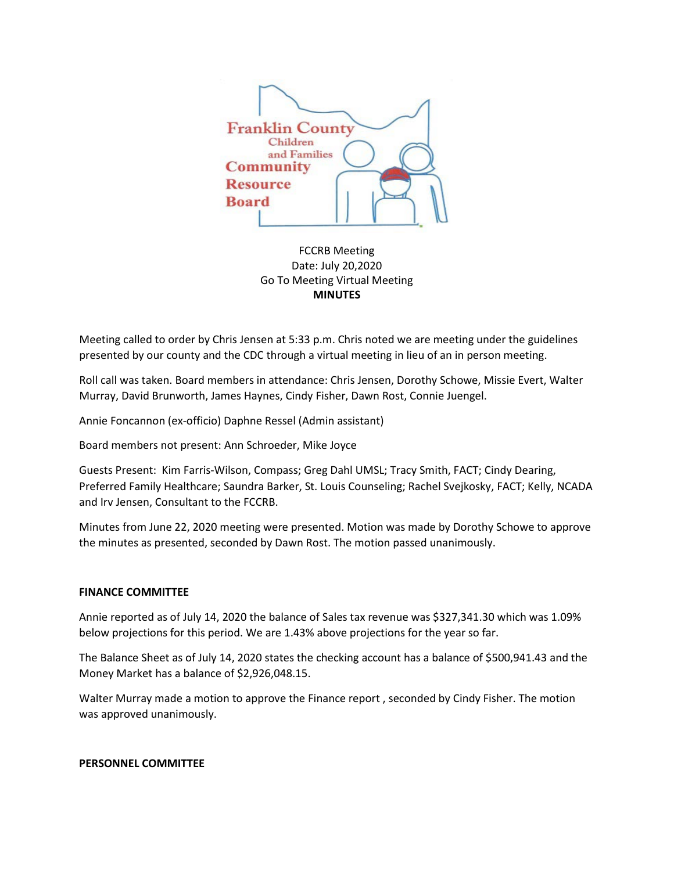

FCCRB Meeting Date: July 20,2020 Go To Meeting Virtual Meeting **MINUTES**

Meeting called to order by Chris Jensen at 5:33 p.m. Chris noted we are meeting under the guidelines presented by our county and the CDC through a virtual meeting in lieu of an in person meeting.

Roll call was taken. Board members in attendance: Chris Jensen, Dorothy Schowe, Missie Evert, Walter Murray, David Brunworth, James Haynes, Cindy Fisher, Dawn Rost, Connie Juengel.

Annie Foncannon (ex-officio) Daphne Ressel (Admin assistant)

Board members not present: Ann Schroeder, Mike Joyce

Guests Present: Kim Farris-Wilson, Compass; Greg Dahl UMSL; Tracy Smith, FACT; Cindy Dearing, Preferred Family Healthcare; Saundra Barker, St. Louis Counseling; Rachel Svejkosky, FACT; Kelly, NCADA and Irv Jensen, Consultant to the FCCRB.

Minutes from June 22, 2020 meeting were presented. Motion was made by Dorothy Schowe to approve the minutes as presented, seconded by Dawn Rost. The motion passed unanimously.

### **FINANCE COMMITTEE**

Annie reported as of July 14, 2020 the balance of Sales tax revenue was \$327,341.30 which was 1.09% below projections for this period. We are 1.43% above projections for the year so far.

The Balance Sheet as of July 14, 2020 states the checking account has a balance of \$500,941.43 and the Money Market has a balance of \$2,926,048.15.

Walter Murray made a motion to approve the Finance report , seconded by Cindy Fisher. The motion was approved unanimously.

### **PERSONNEL COMMITTEE**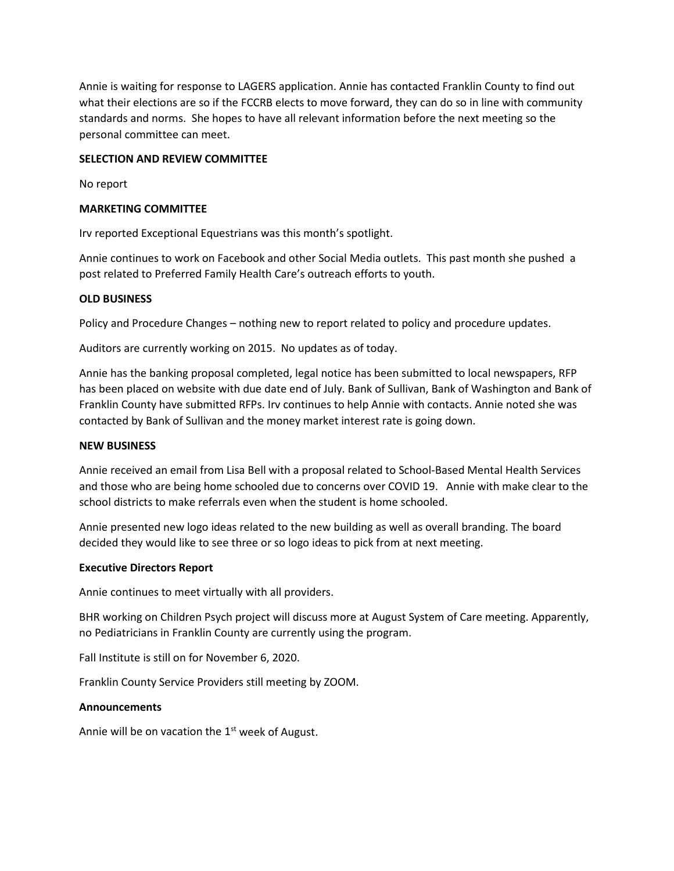Annie is waiting for response to LAGERS application. Annie has contacted Franklin County to find out what their elections are so if the FCCRB elects to move forward, they can do so in line with community standards and norms. She hopes to have all relevant information before the next meeting so the personal committee can meet.

## **SELECTION AND REVIEW COMMITTEE**

No report

### **MARKETING COMMITTEE**

Irv reported Exceptional Equestrians was this month's spotlight.

Annie continues to work on Facebook and other Social Media outlets. This past month she pushed a post related to Preferred Family Health Care's outreach efforts to youth.

### **OLD BUSINESS**

Policy and Procedure Changes – nothing new to report related to policy and procedure updates.

Auditors are currently working on 2015. No updates as of today.

Annie has the banking proposal completed, legal notice has been submitted to local newspapers, RFP has been placed on website with due date end of July. Bank of Sullivan, Bank of Washington and Bank of Franklin County have submitted RFPs. Irv continues to help Annie with contacts. Annie noted she was contacted by Bank of Sullivan and the money market interest rate is going down.

### **NEW BUSINESS**

Annie received an email from Lisa Bell with a proposal related to School-Based Mental Health Services and those who are being home schooled due to concerns over COVID 19. Annie with make clear to the school districts to make referrals even when the student is home schooled.

Annie presented new logo ideas related to the new building as well as overall branding. The board decided they would like to see three or so logo ideas to pick from at next meeting.

### **Executive Directors Report**

Annie continues to meet virtually with all providers.

BHR working on Children Psych project will discuss more at August System of Care meeting. Apparently, no Pediatricians in Franklin County are currently using the program.

Fall Institute is still on for November 6, 2020.

Franklin County Service Providers still meeting by ZOOM.

### **Announcements**

Annie will be on vacation the  $1<sup>st</sup>$  week of August.